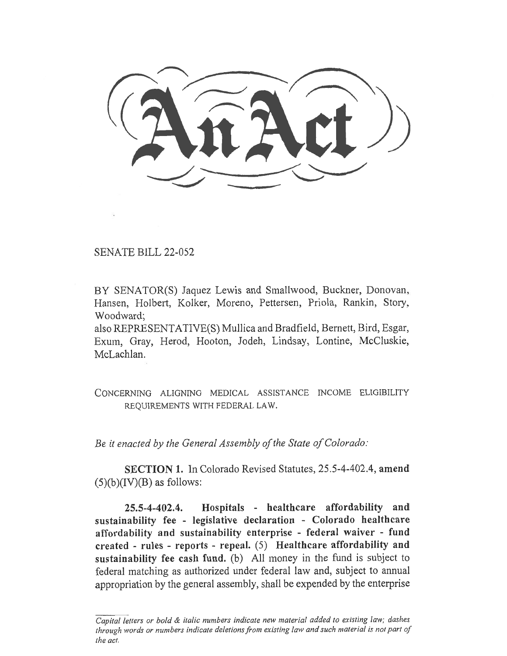SENATE BILL 22-052

BY SENATOR(S) Jaquez Lewis and Smallwood, Buckner, Donovan, Hansen, Holbert, Kolker, Moreno, Pettersen, Priola, Rankin, Story, Woodward;

also REPRESENTATIVE(S) Mullica and Bradfield, Bernett, Bird, Esgar, Exum, Gray, Herod, Hooton, Jodeh, Lindsay, Lontine, McCluskie, McLachlan.

CONCERNING ALIGNING MEDICAL ASSISTANCE INCOME ELIGIBILITY REQUIREMENTS WITH FEDERAL LAW.

Be it enacted by the General Assembly of the State of Colorado:

SECTION 1. In Colorado Revised Statutes, 25.5-4-402.4, amend  $(5)(b)(IV)(B)$  as follows:

25.5-4-402.4. Hospitals - healthcare affordability and sustainability fee - legislative declaration - Colorado healthcare affordability and sustainability enterprise - federal waiver - fund created - rules - reports - repeal. (5) Healthcare affordability and sustainability fee cash fund. (b) All money in the fund is subject to federal matching as authorized under federal law and, subject to annual appropriation by the general assembly, shall be expended by the enterprise

Capital letters or bold & italic numbers indicate new material added to existing law; dashes through words or numbers indicate deletions from existing law and such material is not part of the act.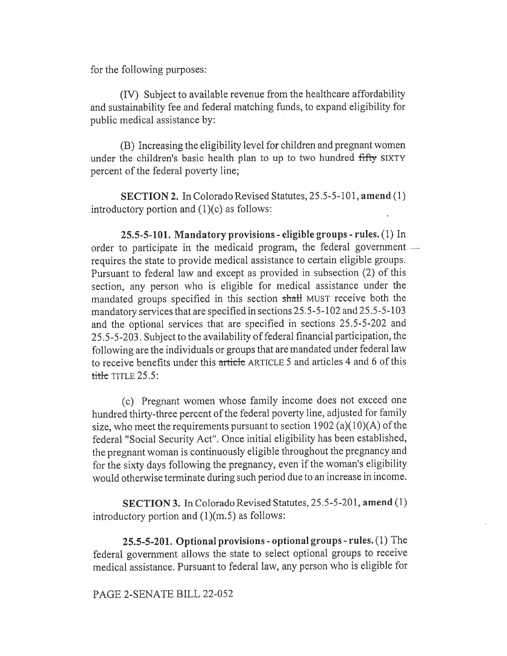for the following purposes:

(IV) Subject to available revenue from the healthcare affordability and sustainability fee and federal matching funds, to expand eligibility for public medical assistance by:

(B) Increasing the eligibility level for children and pregnant women under the children's basic health plan to up to two hundred fifty SIXTY percent of the federal poverty line;

SECTION 2. In Colorado Revised Statutes, 25.5-5-101, amend (1) introductory portion and (I)(c) as follows:

25.5-5-101. Mandatory provisions - eligible groups - rules. (1) In order to participate in the medicaid program, the federal government requires the state to provide medical assistance to certain eligible groups. Pursuant to federal law and except as provided in subsection (2) of this section, any person who is eligible for medical assistance under the mandated groups specified in this section shall MUST receive both the mandatory services that are specified in sections 25.5-5-102 and 25.5-5-103 and the optional services that are specified in sections 25.5-5-202 and 25.5-5-203. Subject to the availability of federal financial participation, the following are the individuals or groups that are mandated under federal law to receive benefits under this article ARTICLE 5 and articles 4 and 6 of this  $t$  title TITLE 25.5:

(c) Pregnant women whose family income does not exceed one hundred thirty-three percent of the federal poverty line, adjusted for family size, who meet the requirements pursuant to section 1902 (a)(10)(A) of the federal "Social Security Act". Once initial eligibility has been established, the pregnant woman is continuously eligible throughout the pregnancy and for the sixty days following the pregnancy, even if the woman's eligibility would otherwise terminate during such period due to an increase in income.

SECTION 3. In Colorado Revised Statutes, 25.5-5-201, amend (1) introductory portion and (1)(m.5) as follows:

25.5-5-201. Optional provisions - optional groups - rules. (1) The federal government allows the state to select optional groups to receive medical assistance. Pursuant to federal law, any person who is eligible for

PAGE 2-SENATE BILL 22-052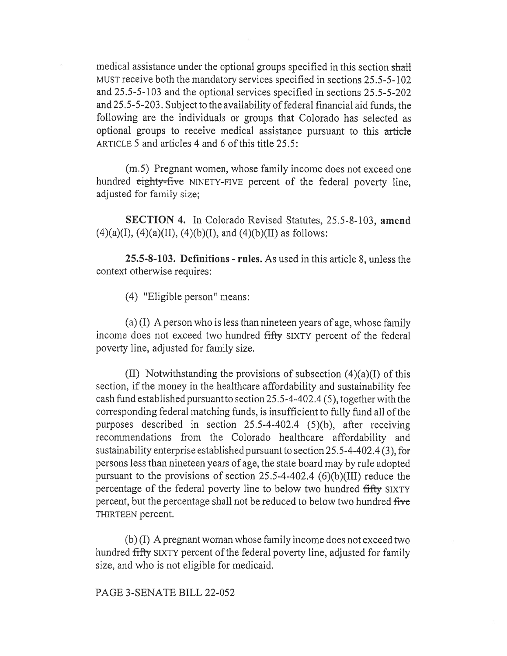medical assistance under the optional groups specified in this section shall MUST receive both the mandatory services specified in sections 25.5-5-102 and 25.5-5-103 and the optional services specified in sections 25.5-5-202 and 25.5-5-203. Subject to the availability of federal financial aid funds, the following are the individuals or groups that Colorado has selected as optional groups to receive medical assistance pursuant to this article ARTICLE 5 and articles 4 and 6 of this title 25.5:

(m.5) Pregnant women, whose family income does not exceed one hundred eighty-five NINETY-FIVE percent of the federal poverty line, adjusted for family size;

SECTION 4. In Colorado Revised Statutes, 25.5-8-103, amend  $(4)(a)(I), (4)(a)(II), (4)(b)(I), and (4)(b)(II)$  as follows:

25.5-8-103. Definitions - rules. As used in this article 8, unless the context otherwise requires:

(4) "Eligible person" means:

(a) (I) A person who is less than nineteen years of age, whose family income does not exceed two hundred fifty SIXTY percent of the federal poverty line, adjusted for family size.

(II) Notwithstanding the provisions of subsection (4)(a)(I) of this section, if the money in the healthcare affordability and sustainability fee cash fund established pursuant to section 25.5-4-402.4 (5), together with the corresponding federal matching funds, is insufficient to fully fund all of the purposes described in section 25.5-4-402.4 (5)(b), after receiving recommendations from the Colorado healthcare affordability and sustainability enterprise established pursuant to section 25.5-4-402.4 (3), for persons less than nineteen years of age, the state board may by rule adopted pursuant to the provisions of section 25.5-4-402.4  $(6)(b)(III)$  reduce the percentage of the federal poverty line to below two hundred fifty SIXTY percent, but the percentage shall not be reduced to below two hundred five THIRTEEN percent.

(b) (I) A pregnant woman whose family income does not exceed two hundred fifty SIXTY percent of the federal poverty line, adjusted for family size, and who is not eligible for medicaid.

PAGE 3-SENATE BILL 22-052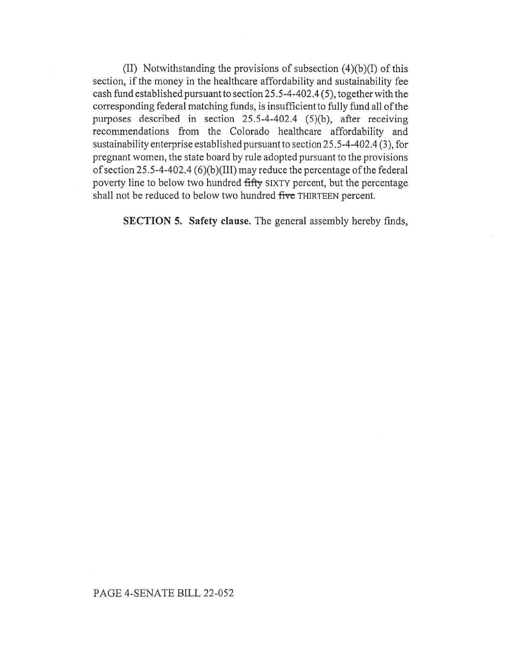(II) Notwithstanding the provisions of subsection (4)(b)(I) of this section, if the money in the healthcare affordability and sustainability fee cash fund established pursuant to section 25.5-4-402.4 (5), together with the corresponding federal matching funds, is insufficient to fully fund all of the purposes described in section 25.5-4-402.4 (5)(b), after receiving recommendations from the Colorado healthcare affordability and sustainability enterprise established pursuant to section 25.5-4-402.4 (3), for pregnant women, the state board by rule adopted pursuant to the provisions of section 25.5-4-402.4 (6)(b)(III) may reduce the percentage of the federal poverty line to below two hundred fifty SIXTY percent, but the percentage shall not be reduced to below two hundred five THIRTEEN percent.

SECTION 5. Safety clause. The general assembly hereby finds,

## PAGE 4-SENATE BILL 22-052